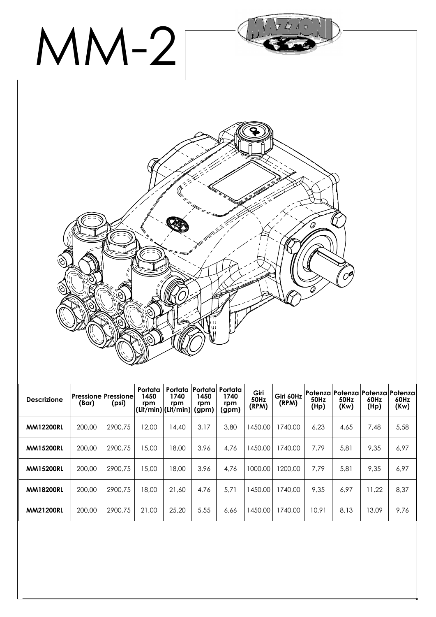

| <b>Descrizione</b> | <b>Pressione Pressione</b><br>(Bar) | (psi)   | Portata<br>1450<br>rpm | Portata<br>1740<br>rpm<br>(Lit/min) (Lit/min) | Portata<br>1450<br>rpm<br>(gpm) | <b>Portata</b><br>1740<br>rpm<br>(gpm) | Giri<br><b>50Hz</b><br>(RPM) | Giri 60Hz<br>(RPM) | <b>50Hz</b><br>(Hp) | Potenza Potenza<br>50Hz<br>(Kw) | Potenza <br>60Hz<br>(Hp) | Potenza l<br>60Hz<br>(Kw) |
|--------------------|-------------------------------------|---------|------------------------|-----------------------------------------------|---------------------------------|----------------------------------------|------------------------------|--------------------|---------------------|---------------------------------|--------------------------|---------------------------|
| <b>MM12200RL</b>   | 200,00                              | 2900.75 | 12.00                  | 14,40                                         | 3.17                            | 3,80                                   | 1450.00                      | 1740.00            | 6.23                | 4,65                            | 7.48                     | 5,58                      |
| <b>MM15200RL</b>   | 200,00                              | 2900.75 | 15,00                  | 18,00                                         | 3.96                            | 4,76                                   | 1450,00                      | 1740.00            | 7,79                | 5,81                            | 9,35                     | 6,97                      |
| <b>MM15200RL</b>   | 200,00                              | 2900.75 | 15,00                  | 18.00                                         | 3.96                            | 4.76                                   | 1000,00                      | 1200.00            | 7.79                | 5,81                            | 9,35                     | 6,97                      |
| <b>MM18200RL</b>   | 200,00                              | 2900.75 | 18,00                  | 21.60                                         | 4.76                            | 5.71                                   | 1450,00                      | 1740.00            | 9,35                | 6,97                            | 11.22                    | 8,37                      |
| <b>MM21200RL</b>   | 200,00                              | 2900.75 | 21.00                  | 25.20                                         | 5,55                            | 6,66                                   | 1450,00                      | 1740,00            | 10.91               | 8,13                            | 13.09                    | 9.76                      |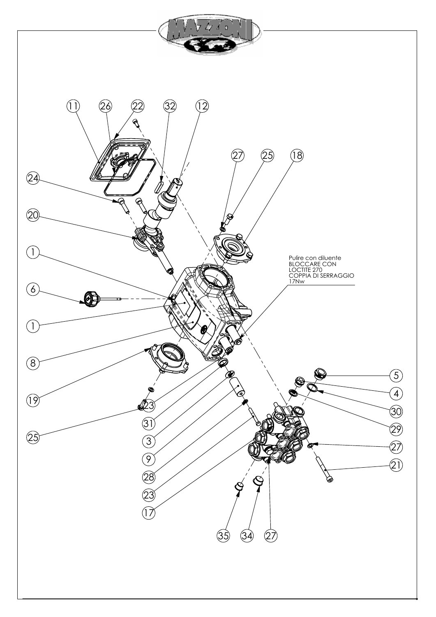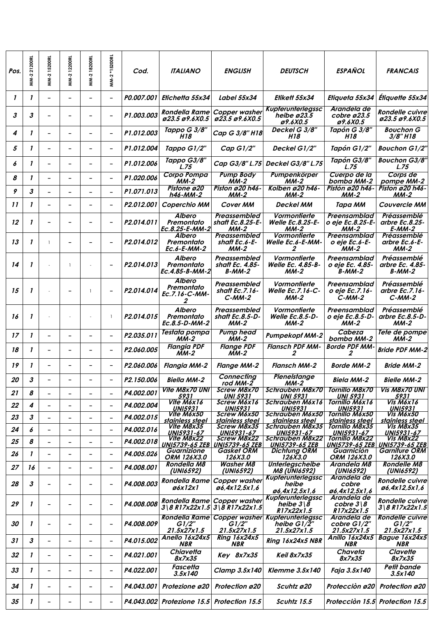| Pos.         | MM-221200RL | <b>MM-215200RL</b>           | MM-212200RL              | MM-218200RL              | MM-2 *15200RL            | Cod.                   | <b>ITALIANO</b>                                   | <b>ENGLISH</b>                               | <b>DEUTSCH</b>                                                   | <b>ESPAÑOL</b>                                      | <b>FRANCAIS</b>                                |
|--------------|-------------|------------------------------|--------------------------|--------------------------|--------------------------|------------------------|---------------------------------------------------|----------------------------------------------|------------------------------------------------------------------|-----------------------------------------------------|------------------------------------------------|
| $\mathbf{I}$ | 1           |                              | ۳                        | $\overline{a}$           | $\overline{\phantom{a}}$ | P0.007.001             | Etichetta 55x34                                   | Label 55x34                                  | Elikelt 55x34                                                    | Etiqueta 55x34                                      | Étiquette 55x34                                |
| 3            | 3           |                              |                          |                          |                          | P1.003.003             | Rondella Rame<br>ø23.5 ø9.6X0.5                   | Copper washer<br>ø23.5 ø9.6X0.5              | <b>Kupferunterlegssc</b><br>heibe ø23.5<br>ø9.6X0.5              | Arandela de<br>cobre $\varnothing$ 23.5<br>ø9.6X0.5 | <b>Rondelle cuivre</b><br>ø23.5 ø9.6X0.5       |
| 4            | 1           |                              | $\overline{\phantom{0}}$ | -                        | $\overline{\phantom{a}}$ | P1.012.003             | Tappo G 3/8"<br>H <sub>18</sub>                   | Cap G 3/8" H18                               | Deckel G 3/8"<br>H18                                             | Tapón G 3/8"<br>H18                                 | <b>Bouchon G</b><br>3/8" H18                   |
| 5            | 1           |                              | $\overline{\phantom{0}}$ | ۳                        | $\overline{\phantom{a}}$ | P1.012.004             | Tappo G1/2"                                       | Cap $G1/2"$                                  | Deckel G1/2"                                                     | Tapón G1/2"                                         | <b>Bouchon G1/2"</b>                           |
| 6            | 1           |                              | $\overline{\phantom{0}}$ | $\overline{a}$           | $\overline{\phantom{a}}$ | P1.012.006             | Tappo G3/8"<br>L.75                               | Cap G3/8" L.75                               | <b>Deckel G3/8" L.75</b>                                         | Tapón G3/8"<br>L.75                                 | <b>Bouchon G3/8"</b><br>L.75                   |
| 8            | 1           | $\overline{\phantom{0}}$     | $\qquad \qquad -$        | $\overline{\phantom{0}}$ | $\overline{\phantom{a}}$ | P1.020.006             | <b>Corpo Pompa</b><br>ММ-2                        | <b>Pump Body</b><br>ММ-2                     | Pumpenkörper<br>ММ-2                                             | Cuerpo de la<br>bomba MM-2                          | Corps de<br>pompe MM-2                         |
| 9            | 3           | $\overline{\phantom{a}}$     | -                        | Ξ.                       | $\qquad \qquad -$        | P1.071.013             | Pistone ø20<br>h46-MM-2                           | Piston ø20 h46-<br>ММ-2                      | Kolben ø20 h46-<br>ММ-2                                          | Pistón ø20 h46-<br>$MM-2$                           | <b>Piston ø20 h46-</b><br>ММ-2                 |
| 11           | 1           |                              |                          |                          | $\qquad \qquad -$        | P2.012.001             | Coperchio MM                                      | <b>Cover MM</b>                              | <b>Deckel MM</b>                                                 | Тара ММ                                             | <b>Couvercle MM</b>                            |
| 12           | 1           |                              |                          |                          | $\overline{\phantom{0}}$ | P <sub>2.014.011</sub> | <b>Albero</b><br>Premontato<br>Ec.8.25-E-MM-2     | Preassembled<br>shaft Ec.8.25-E-<br>$MM-2$   | Vormontierte<br><b>Welle Ec.8.25-E-</b><br>$MM-2$                | Preensamblad<br>o eje Ec.8.25-E-<br>$MM-2$          | Préassemblé<br>arbre Ec.8.25-<br>$E-MM-2$      |
| 13           | 1           | $\overline{1}$               |                          |                          | $\overline{\phantom{0}}$ | P <sub>2.014.012</sub> | Albero<br>Premontato<br>Ec.6-E-MM-2               | Preassembled<br>shaft Ec.6-E-<br>$MM-2$      | Vormontierte<br><b>Welle Ec.6-E-MM-</b><br>2                     | Preensamblad<br>o eje Ec.6-E-<br>$MM-2$             | Préassemblé<br>arbre Ec.6-E-<br>$MM-2$         |
| 14           | 1           |                              |                          |                          |                          | P <sub>2.014.013</sub> | Albero<br>Premontato<br>Ec.4.85-B-MM-2            | Preassembled<br>shaft Ec. 4.85-<br>В-ММ-2    | Vormontierte<br>Welle Ec. 4.85-B-<br>ММ-2                        | Preensamblad<br>o eje Ec. 4.85-<br>В-ММ-2           | Préassemblé<br>arbre Ec. 4.85-<br>$B-MM-2$     |
| 15           | 1           |                              |                          |                          |                          | P2.014.014             | <b>Albero</b><br>Premontato<br>Ec.7.16-C-MM-<br>2 | Preassembled<br>shaft Ec.7.16-<br>$C-MM-2$   | Vormontierte<br><b>Welle Ec.7.16-C-</b><br>ММ-2                  | Preensamblad<br>o eje Ec.7.16-<br>$C-MM-2$          | Préassemblé<br>arbre Ec.7.16-<br>$C-MM-2$      |
| 16           | 1           |                              |                          |                          | $\mathbf{1}$             | P <sub>2.014.015</sub> | <b>Albero</b><br>Premontato<br>Ec.8.5-D-MM-2      | Preassembled<br>shaft Ec.8.5-D-<br>$MM-2$    | Vormontierte<br>Welle Ec.8.5-D-<br>$MM-2$                        | Preensamblad<br>o eje Ec.8.5-D-<br>$MM-2$           | Préassemblé<br>arbre Ec.8.5-D-<br>$MM-2$       |
| 17           | 1           | $\overline{\phantom{a}}$     | $\qquad \qquad -$        | -                        | $\overline{\phantom{a}}$ | P2.035.011             | Testata pompa<br>$MM-2$                           | <b>Pump head</b><br>$MM-2$                   | <b>Pumpekopf MM-2</b>                                            | Cabeza<br>bomba MM-2                                | Tete de pompe<br>$MM-2$                        |
| 18           | 1           |                              |                          | -                        |                          | P2.060.005             | <b>Flangia PDF</b><br>$\overline{MM-2}$           | <b>Flange PDF</b><br>$M-M-2$                 | <b>Flansch PDF MM-</b><br>2                                      | <b>Borde PDF MM-</b><br>2                           | <b>Bride PDF MM-2</b>                          |
| 19           | 1           |                              |                          |                          | $\overline{\phantom{0}}$ | P2.060.006             | <b>Flangia MM-2</b>                               | <b>Flange MM-2</b>                           | <b>Flansch MM-2</b>                                              | <b>Borde MM-2</b>                                   | <b>Bride MM-2</b>                              |
| 20           | 3           |                              |                          |                          | $\qquad \qquad -$        | P2.150.006             | Biella MM-2                                       | <b>Connecting</b><br>rod MM-2                | <b>Plenelstange</b><br>$MM-2$                                    | <b>Biela MM-2</b>                                   | <b>Bielle MM-2</b>                             |
| 21           | 8           |                              | $\overline{\phantom{0}}$ | Ξ.                       | $\overline{\phantom{a}}$ | P4.002.001             | <b>Vite M8x70 UNI</b><br>5931                     | <b>Screw M8x70</b><br><b>UNI 5931</b>        | <b>Schrauben M8x70</b><br><b>UNI 5931</b>                        | <b>Tornillo M8x70</b><br><b>UNI 5931</b>            | <b>Vis M8x70 UNI</b><br>5931                   |
| 22           | 4           |                              | $\overline{\phantom{0}}$ | -                        | $\overline{\phantom{0}}$ | P4.002.004             | Vite M6x16                                        | <b>Screw M6x16</b>                           | Schrauben M6x16                                                  | Tornillo M6x16                                      | Vis M6x16                                      |
| 23           | 3           |                              |                          |                          |                          | P4.002.015             | <b>UNI5931</b><br>Vite M6x50                      | <i><b>UNI5931</b></i><br>Screw M6x50         | <b>UNI5931</b><br><b>Schrauben M6x50</b>                         | <b>UNI5931</b><br>Tornillo M6x50                    | <b>UNI5931</b><br>Vis M6x50                    |
|              |             |                              |                          |                          |                          |                        | stainless steel<br>Vite M8x35                     | stainless steel<br>Screw M8x35               | stainless steel<br>Schrauben M8x35                               | stainless steel<br>Tornillo M8x35                   | stainless steel<br>Vis M8x35                   |
| 24           | 6           | $\qquad \qquad \blacksquare$ | $\overline{\phantom{0}}$ | $\overline{a}$           | $\overline{\phantom{a}}$ | P4.002.016             | UNI5931-67                                        | <b>UNI5931-67</b>                            | <b>UNI5931-67</b>                                                | <b>UNI5931-67</b>                                   | UNI5931-67                                     |
| 25           | 8           | $\overline{\phantom{0}}$     | $\overline{\phantom{0}}$ | -                        | $\overline{\phantom{a}}$ | P4.002.018             | Vite M8x22                                        | Screw M8x22<br>UNI5739-65 ZEB UNI5739-65 ZEB | Schrauben M8x22<br><b>UNI5739-65 ZEB</b>                         | Tornillo M8x22<br><u>UNI5739-65 ZEB</u>             | <b>Vis M8x22</b><br><b>UNI5739-65 ZEB</b>      |
| 26           | 1           | $\overline{\phantom{0}}$     | $\overline{\phantom{0}}$ | $\overline{a}$           | $\overline{\phantom{a}}$ | P4.005.026             | Guarnizione<br>ORM 126X3.0                        | Gasket ORM<br>126X3.0                        | <b>Dichtung ORM</b><br><i>126X3.0</i>                            | Guarnición<br>ORM 126X3.0                           | Garniture ORM<br>126X3.0                       |
| 27           | 16          | $\overline{\phantom{0}}$     | $\qquad \qquad -$        | -                        | $\overline{\phantom{a}}$ | P4.008.001             | <b>Rondella M8</b><br>(UNI6592)                   | <b>Washer M8</b><br>(UNI6592)                | Unterlegscheibe<br><b>M8 (UNI6592)</b>                           | Arandela M8<br>(UNI6592)                            | <b>Rondelle M8</b><br>(UNI6592)                |
| 28           | 3           |                              |                          |                          | $\overline{\phantom{0}}$ | P4.008.003             | <b>Rondella Rame</b><br>ø6x12x1                   | <b>Copper washer</b><br>ø6,4x12,5x1,6        | <b>Kupferunterlegssc</b><br>heibe<br>ø6,4x12,5x1,6               | Arandela de<br>cobre<br>ø6,4x12,5x1,6               | Rondelle cuivre<br>ø6,4x12,5x1,6               |
| 29           | 1           |                              |                          |                          | $\overline{\phantom{a}}$ | P4.008.008             | Rondella Rame<br>3 8 R17x22x1.5                   | Copper washer<br>3 8R17x22x1.5               | Kupferunterlegssc<br>heibe $3 \tilde{\mathcal{S}}$<br>R17x22x1.5 | Arandela de<br>cobre $3 8$<br>R17x22x1.5            | <b>Rondelle cuivre</b><br>3 8 R17x22x1.5       |
| 30           | 1           |                              |                          |                          | $\overline{\phantom{a}}$ | P4.008.009             | Rondella Rame<br>G1/2"<br>21.5x27x1.5             | G1/2"<br>21.5x27x1.5                         | Copper washer Kupferunterlegssc<br>heibe G1/2"<br>21.5x27x1.5    | Arandela de<br>cobre G1/2"<br>21.5x27x1.5           | <b>Rondelle cuivre</b><br>G1/2"<br>21.5x27x1.5 |
| 31           | 3           |                              | ۳                        | ۳                        | $\overline{\phantom{0}}$ | P4.015.002             | Anello 16x24x5<br>NBR                             | <b>Ring 16x24x5</b><br><b>NBR</b>            | Ring 16x24x5 NBR                                                 | Anillo 16x24x5<br><b>NBR</b>                        | Bague 16x24x5<br><b>NBR</b>                    |
| 32           | 1           |                              | $\overline{\phantom{0}}$ | -                        | $\overline{\phantom{a}}$ | P4.021.001             | Chiavetta<br>8x7x35                               | Key 8x7x35                                   | Keil 8x7x35                                                      | Chaveta<br>8x7x35                                   | Clavette<br>8x7x35                             |
| 33           | 1           | $\overline{\phantom{0}}$     | $\overline{\phantom{a}}$ | -                        | $\overline{\phantom{a}}$ | P4.022.001             | Fascetta<br>3.5x140                               | Clamp 3.5x140                                | <b>Klemme 3.5x140</b>                                            | Faja 3.5x140                                        | Petit bande<br>3.5x140                         |
| 34           | 1           |                              | $\overline{\phantom{0}}$ | $\overline{a}$           | $\overline{\phantom{a}}$ | P4.043.001             | Protezione ø20                                    | Protection ø20                               | Scuhtz ø20                                                       | Protecciòn ø20                                      | Protection ø20                                 |
| 35           |             |                              |                          |                          |                          |                        | P4.043.002 Protezione 15.5 Protection 15.5        |                                              | Scuhtz 15.5                                                      |                                                     | Profección 15.5 Profection 15.5                |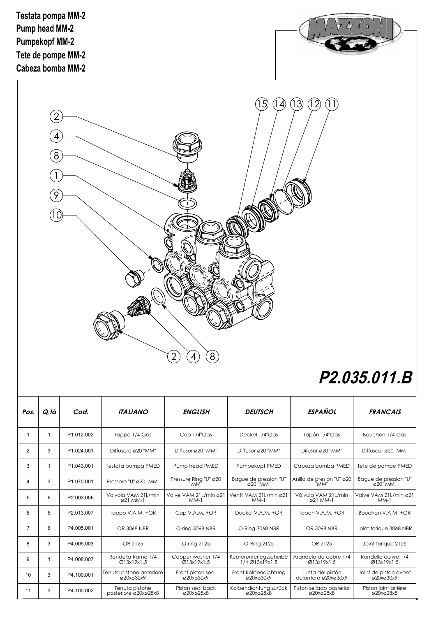

## **P2.035.011.B**

| Pos.           | Q.tà         | Cod.       | <b>ITALIANO</b>                        | <b>ENGLISH</b>                  | <b>DEUTSCH</b>                                      | <b>ESPAÑOL</b>                                         | <b>FRANCAIS</b>                    |
|----------------|--------------|------------|----------------------------------------|---------------------------------|-----------------------------------------------------|--------------------------------------------------------|------------------------------------|
| $\overline{1}$ | $\mathbf{1}$ | P1.012.002 | Tappo 1/4"Gas                          | Cap 1/4"Gas                     | Deckel 1/4"Gas                                      | Tapón 1/4"Gas                                          | Bouchon 1/4"Gas                    |
| 2              | 3            | P1.024.001 | Diffusore ø20 "MM"                     | Diffusor ø20 "MM"               | Diffusor ø20 "MM"                                   | Difusor ø20 "MM"                                       | Diffuseur ø20 "MM"                 |
| 3              | 1            | P1.043.001 | Testata pompa PMED                     | Pump head PMED                  | Pumpekopf PMED                                      | Cabeza bomba PMED                                      | Tete de pompe PMED                 |
| $\overline{4}$ | 3            | P1.070.001 | Pressore "U" ø20 "MM"                  | Pressure Ring "U" ø20<br>'MM'   | Bague de pression "U"<br>020 "MM"                   | Anillo de presión "U" ø20<br>"ММ"                      | Bague de pression "U"<br>ø20 "MM"  |
| 5              | 6            | P2.003.006 | Valvola VAM 21L/min<br>ø21 MM-1        | Valve VAM 21L/min ø21<br>$MM-1$ | Ventil VAM 21L/min ø21<br>$MM-1$                    | Válvula VAM 21 L/min<br>$\alpha$ 21 MM-1               | Valve VAM 21L/min ø21<br>$MM-1$    |
| 6              | 6            | P2.013.007 | Tappo V.A.M. +OR                       | Cap V.A.M. +OR                  | Deckel V.A.M. +OR                                   | Tapón V.A.M. +OR                                       | Bouchon V.A.M. +OR                 |
| $\overline{7}$ | 6            | P4.005.001 | OR 3068 NBR                            | O-ring 3068 NBR                 | O-Ring 3068 NBR                                     | OR 3068 NBR                                            | Joint torique 3068 NBR             |
| 8              | 3            | P4.005.003 | OR 2125                                | O-ring 2125                     | O-Ring 2125                                         | OR 2125                                                | Joint torique 2125                 |
| 9              | 1            | P4.008.007 | Rondella Rame 1/4<br>Ø13x19x1.5        | Copper washer 1/4<br>Q13x19x1.5 | Kupferunterlegsscheibe<br>$1/4$ Ø $13x$ 19 $x1.5$   | Arandela de cobre 1/4<br>Ø13x19x1.5                    | Rondelle cuivre 1/4<br>Ø13x19x1.5  |
| 10             | 3            | P4.100.001 | Tenuta pistone anteriore<br>ø20xø30x9  | Front piston seal<br>ø20xø30x9  | Front Kolbendichtung<br>Ø20xØ30x9                   | Junta del pistón<br>delantero ø20xø30x9                | Joint de piston avant<br>Ø20xØ30x9 |
| 11             | 3            | P4.100.002 | Tenuta pistone<br>posteriore ø20xø28x8 | Piston seal back<br>Ø20xØ28x8   | Kolbendichtung zurück<br>$\alpha$ 20x $\alpha$ 28x8 | Piston sellado posterior<br>$\alpha$ 20x $\alpha$ 28x8 | Piston joint arrière<br>ø20xø28x8  |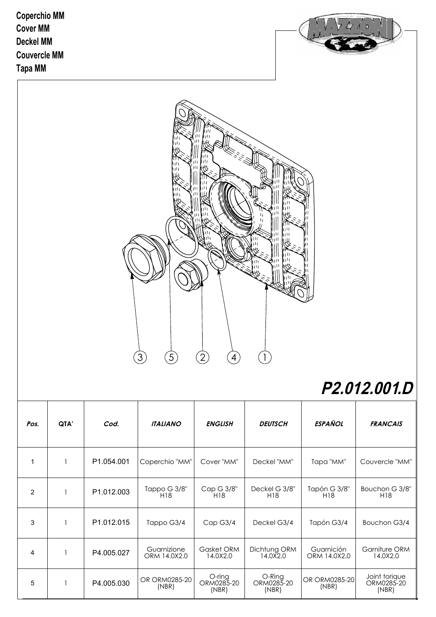**Coperchio MM Cover MM Deckel MM Tapa MM Couvercle MM**





## **P2.012.001.D**

| Pos.           | QTA' | Cod.       | <b>ITALIANO</b>             | <b>ENGLISH</b>                | <b>DEUTSCH</b>                | <b>ESPAÑOL</b>             | <b>FRANCAIS</b>                      |
|----------------|------|------------|-----------------------------|-------------------------------|-------------------------------|----------------------------|--------------------------------------|
|                |      | P1.054.001 | Coperchio "MM"              | Cover "MM"                    | Deckel "MM"                   | Tapa "MM"                  | Couvercle "MM"                       |
| $\overline{2}$ |      | P1.012.003 | Tappo G 3/8"<br>H18         | Cap G 3/8"<br>H18             | Deckel G 3/8"<br>H18          | Tapón G 3/8"<br>H18        | Bouchon G 3/8"<br>H18                |
| 3              |      | P1.012.015 | Tappo G3/4                  | Cap G3/4                      | Deckel G3/4                   | Tapón G3/4                 | Bouchon G3/4                         |
| 4              |      | P4.005.027 | Guarnizione<br>ORM 14.0X2.0 | Gasket ORM<br>14.0X2.0        | Dichtung ORM<br>14.0X2.0      | Guarnición<br>ORM 14.0X2.0 | Garniture ORM<br>14.0X2.0            |
| 5              |      | P4.005.030 | OR ORM0285-20<br>(NBR)      | O-ring<br>ORM0285-20<br>(NBR) | O-Ring<br>ORM0285-20<br>(NBR) | OR ORM0285-20<br>(NBR)     | Joint torique<br>ORM0285-20<br>(NBR) |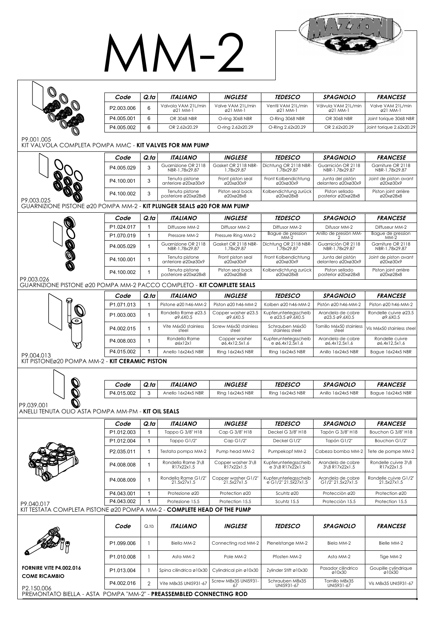## MM-2

 $4/4$  of

| <b>INGLESE</b><br><b>TEDESCO</b><br><b>SPAGNOLO</b><br><b>FRANCESE</b><br>Code<br>Q.ta<br><i><b>ITALIANO</b></i><br>Valvola VAM 21L/min<br>Valve VAM 21L/min<br>Ventil VAM 21L/min<br>Válvula VAM 21L/min<br>Valve VAM 21L/min<br>6<br>P2.003.006<br>ø21 MM-1<br>ø21 MM-1<br>ø21 MM-1<br>ø21 MM-1<br>ø21 MM-1<br>6<br>P4.005.001<br>OR 3068 NBR<br>O-ring 3068 NBR<br>O-Ring 3068 NBR<br>OR 3068 NBR<br>Joint torique 3068 NBR<br>6<br>P4.005.002<br>OR 2.62x20.29<br>O-ring 2.62x20.29<br>O-Ring 2.62x20.29<br>OR 2.62x20.29<br>Joint torique 2.62x20.29<br>P9.001.005<br>kit valvola completa pompa mmc - <b>kit valves for mm pump</b><br><b>INGLESE</b><br><b>TEDESCO</b><br><b>SPAGNOLO</b><br><b>FRANCESE</b><br><b>ITALIANO</b><br>Code<br>Q.ta<br>Guarnizione OR 2118<br>Gasket OR 2118 NBR-<br>Dichtung OR 2118 NBR-<br>Guarnición OR 2118<br>Garniture OR 2118<br>3<br>P4.005.029<br>1.78x29.87<br>NBR-1.78x29.87<br>1.78x29.87<br>NBR-1.78x29.87<br>NBR-1.78x29.87<br>Tenuta pistone<br>Front piston seal<br>Front Kolbendichtung<br>Junta del pistón<br>Joint de piston avant<br>3<br>P4.100.001<br>anteriore ø20xø30x9<br>ø20xø30x9<br>ø20xø30x9<br>delantero ø20xø30x9<br>Ø20xØ30x9<br>Tenuta pistone<br>Piston seal back<br>Kolbendichtung zurück<br>Piston sellado<br>Piston joint arrière<br>3<br>P4.100.002<br>posteriore ø20xø28x8<br>ø20xø28x8<br>ø20xø28x8<br>posterior ø20xø28x8<br>ø20xø28x8<br>P9.003.025<br>GUARNIZIONE PISTONE ø20 POMPA MM-2 - KIT PLUNGER SEALS ø20 FOR MM PUMP<br><b>TEDESCO</b><br><b>SPAGNOLO</b><br><b>FRANCESE</b><br>Code<br>Q.ta<br><i><b>ITALIANO</b></i><br><i><b>INGLESE</b></i><br>P1.024.017<br>Diffusore MM-2<br>Diffusor MM-2<br>Diffusor MM-2<br>Difusor MM-2<br>Diffuseur MM-2<br>1<br>Bague de pression<br>Anillo de presión MM-<br>Bague de pression<br>$\mathbf{1}$<br>Pressore MM-2<br>Pressure Rina MM-2<br>P <sub>1.070.019</sub><br>$MM-2$<br>$MM-2$<br>Dichtung OR 2118 NBR-<br>1.78x29.87<br>Guarnizione OR 2118<br>Gasket OR 2118 NBR-<br>Guarnición OR 2118<br>Garniture OR 2118<br>$\mathbf{1}$<br>P4.005.029<br>NBR-1.78x29.87<br>1.78x29.87<br>NBR-1.78x29.87<br>NBR-1.78x29.87<br>Tenuta pistone<br>Front piston seal<br>Front Kolbendichtung<br>Junta del pistón<br>Joint de piston avant<br>P4.100.001<br>$\mathbf{1}$<br>delantero ø20xø30x9<br>anteriore ø20xø30x9<br>ø20xø30x9<br>ø20xø30x9<br>ø20xø30x9<br>Tenuta pistone<br>Piston seal back<br>Kolbendichtung zurück<br>Piston sellado<br>Piston joint arrière<br>P4.100.002<br>$\mathbf{1}$<br>ø20xø28x8<br>posteriore ø20xø28x8<br>ø20xø28x8<br>ø20xø28x8<br>posterior ø20xø28x8<br>P9.003.026<br>GUARNIZIONE PISTONE ø20 POMPA MM-2 PACCO COMPLETO - KIT COMPLETE SEALS<br><b>FRANCESE</b><br><b>INGLESE</b><br><b>TEDESCO</b><br><b>SPAGNOLO</b><br>Code<br>Q.ta<br>ITALIANO<br>Piston ø20 h46-MM-2<br>P1.071.013<br>$\mathbf{1}$<br>Pistone ø20 h46-MM-2<br>Piston ø20 h46-MM-2<br>Kolben ø20 h46-MM-2<br>Pistón ø20 h46-MM-2<br>Rondella Rame ø23.5<br>Copper washer ø23.5<br>Kupferunterlegsscheib<br>Arandela de cobre<br>Rondelle cuivre ø23.5<br>P1.003.003<br>1<br>e ø23.5 ø9.6X0.5<br>ø9.6X0.5<br>ø9.6X0.5<br>Ø23.5 Ø9.6X0.5<br>ø9.6X0.5<br>Vite M6x50 stainless<br>Screw M6x50 stainless<br>Schrauben M6x50<br>Tornillo M6x50 stainless<br>P4.002.015<br>$\mathbf{1}$<br>Vis M6x50 stainless steel<br>stainless steel<br>steel<br>steel<br>steel<br>Rondella Rame<br>Copper washer<br>Kupferunterlegsscheib<br>Arandela de cobre<br>Rondelle cuivre<br>P4.008.003<br>1<br>$e \varnothing 6, 4x12, 5x1, 6$<br>ø6,4x12,5x1,6<br>Ø6,4x12,5x1,6<br>ø6x12x1<br>Ø6,4x12,5x1,6<br>P4.015.002<br>Ring 16x24x5 NBR<br>1<br>Anello 16x24x5 NBR<br>Ring 16x24x5 NBR<br>Anillo 16x24x5 NBR<br>Bague 16x24x5 NBR<br>P9.004.013<br>KIT PISTONEØ20 POMPA MM-2 - KIT CERAMIC PISTON<br>Q.ta<br>Code<br>ITALIANO<br><b>INGLESE</b><br><i><b>TEDESCO</b></i><br>SPAGNOLO<br>FRANCESE<br>P4.015.002<br>3<br>Anello 16x24x5 NBR<br>Ring 16x24x5 NBR<br>Ring 16x24x5 NBR<br>Anillo 16x24x5 NBR<br>Bague 16x24x5 NBR<br>ANELLI TENUTA OLIO ASTA POMPA MM-PM - <b>KIT OIL SEALS</b><br>FRANCESE<br>Code<br>Q.ta<br><b>ITALIANO</b><br><b>INGLESE</b><br><i><b>TEDESCO</b></i><br>SPAGNOLO<br>P1.012.003<br>Tappo G 3/8" H18<br>Cap G 3/8" H18<br>Deckel G 3/8" H18<br>Tapón G 3/8" H18<br>Bouchon G 3/8" H18<br>1<br>$\mathbf{1}$<br>P1.012.004<br>Tappo G1/2"<br>Cap G1/2"<br>Deckel G1/2"<br>Tapón G1/2"<br>Bouchon G1/2"<br>P2.035.011<br>Testata pompa MM-2<br>Pump head MM-2<br>Pumpekopf MM-2<br>Cabeza bomba MM-2<br>Tete de pompe MM-2<br>1<br>Rondella Rame 3\8<br>Copper washer 3\8<br>Kupferunterlegsscheib<br>Rondelle cuivre 3\8<br>Arandela de cobre<br>P4.008.008<br>$\mathbf{1}$<br>R17x22x1.5<br>R17x22x1.5<br>$e 3\8$ R17x22x1.5<br>R17x22x1.5<br>3\8 R17x22x1.5<br>Rondella Rame G1/2"<br>Copper washer G1/2'<br>Kupferunterlegsscheib<br>Arandela de cobre<br>Rondelle cuivre G1/2"<br>P4.008.009<br>1<br>21.5x27x1.5<br>21.5x27x1.5<br>e G1/2" 21.5x27x1.5<br>G1/2" 21.5x27x1.5<br>21.5x27x1.5<br>P4.043.001<br>Protezione ø20<br>Protection ø20<br>Scuhtz ø20<br>Protección ø20<br>Protection ø20<br>1<br>P4.043.002<br>Protezione 15.5<br>Scuhtz 15.5<br>Protección 15.5<br>Protection 15.5<br>1<br>Protection 15.5<br>P9.040.017<br>KIT TESTATA COMPLETA PISTONE ø20 POMPA MM-2 - <b>COMPLETE HEAD OF THE PUMP</b><br><b>ITALIANO</b><br><b>INGLESE</b><br>Code<br>Q.tà<br><i><b>TEDESCO</b></i><br>SPAGNOLO<br><b>FRANCESE</b><br>P1.099.006<br>Biella MM-2<br>Connecting rod MM-2<br>Plenelstange MM-2<br>Biela MM-2<br>Bielle MM-2<br>P <sub>1.010.008</sub><br>Pole MM-2<br>Pfosten MM-2<br>Asta MM-2<br>Asta MM-2<br>Tige MM-2<br><b>FORNIRE VITE P4.002.016</b><br>Pasador cilindrico<br>Goupille cylindrique<br>P1.013.004<br>Spina cilindrica ø10x30<br>Cylindrical pin ø10x30<br>Zylinder Stift ø 10x30<br>ø10x30<br>ø10x30<br><b>COME RICAMBIO</b><br>Screw M8x35 UNI5931-<br>Schrauben M8x35<br>Tornillo M8x35<br>$\overline{2}$<br>Vite M8x35 UNI5931-67<br>P4.002.016<br>Vis M8x35 UNI5931-67<br>UNI5931-67<br>UNI5931-67<br>67<br>P2.150.006<br>PREMONTATO BIELLA - ASTA POMPA "MM-2" - <b>PREASSEMBLED CONNECTING ROD</b> |            |  |  |  |  |
|-------------------------------------------------------------------------------------------------------------------------------------------------------------------------------------------------------------------------------------------------------------------------------------------------------------------------------------------------------------------------------------------------------------------------------------------------------------------------------------------------------------------------------------------------------------------------------------------------------------------------------------------------------------------------------------------------------------------------------------------------------------------------------------------------------------------------------------------------------------------------------------------------------------------------------------------------------------------------------------------------------------------------------------------------------------------------------------------------------------------------------------------------------------------------------------------------------------------------------------------------------------------------------------------------------------------------------------------------------------------------------------------------------------------------------------------------------------------------------------------------------------------------------------------------------------------------------------------------------------------------------------------------------------------------------------------------------------------------------------------------------------------------------------------------------------------------------------------------------------------------------------------------------------------------------------------------------------------------------------------------------------------------------------------------------------------------------------------------------------------------------------------------------------------------------------------------------------------------------------------------------------------------------------------------------------------------------------------------------------------------------------------------------------------------------------------------------------------------------------------------------------------------------------------------------------------------------------------------------------------------------------------------------------------------------------------------------------------------------------------------------------------------------------------------------------------------------------------------------------------------------------------------------------------------------------------------------------------------------------------------------------------------------------------------------------------------------------------------------------------------------------------------------------------------------------------------------------------------------------------------------------------------------------------------------------------------------------------------------------------------------------------------------------------------------------------------------------------------------------------------------------------------------------------------------------------------------------------------------------------------------------------------------------------------------------------------------------------------------------------------------------------------------------------------------------------------------------------------------------------------------------------------------------------------------------------------------------------------------------------------------------------------------------------------------------------------------------------------------------------------------------------------------------------------------------------------------------------------------------------------------------------------------------------------------------------------------------------------------------------------------------------------------------------------------------------------------------------------------------------------------------------------------------------------------------------------------------------------------------------------------------------------------------------------------------------------------------------------------------------------------------------------------------------------------------------------------------------------------------------------------------------------------------------------------------------------------------------------------------------------------------------------------------------------------------------------------------------------------------------------------------------------------------------------------------------------------------------------------------------------------------------------------------------------------------------------------------------------------------------------------------------------------------------------------------------------------------------------------------------------------------------------------------------------------------------------------------------------------------------------------------------------------------------------------------------------------------------------------------------------------------------------------------------------------------------------------------------------------------------------------------------------------------------------------------------------------------------------------------------------------------------------------------------------------------------------------------------------------------------------------------------------------------------------------------------|------------|--|--|--|--|
|                                                                                                                                                                                                                                                                                                                                                                                                                                                                                                                                                                                                                                                                                                                                                                                                                                                                                                                                                                                                                                                                                                                                                                                                                                                                                                                                                                                                                                                                                                                                                                                                                                                                                                                                                                                                                                                                                                                                                                                                                                                                                                                                                                                                                                                                                                                                                                                                                                                                                                                                                                                                                                                                                                                                                                                                                                                                                                                                                                                                                                                                                                                                                                                                                                                                                                                                                                                                                                                                                                                                                                                                                                                                                                                                                                                                                                                                                                                                                                                                                                                                                                                                                                                                                                                                                                                                                                                                                                                                                                                                                                                                                                                                                                                                                                                                                                                                                                                                                                                                                                                                                                                                                                                                                                                                                                                                                                                                                                                                                                                                                                                                                                                                                                                                                                                                                                                                                                                                                                                                                                                                                                                                                                                           |            |  |  |  |  |
|                                                                                                                                                                                                                                                                                                                                                                                                                                                                                                                                                                                                                                                                                                                                                                                                                                                                                                                                                                                                                                                                                                                                                                                                                                                                                                                                                                                                                                                                                                                                                                                                                                                                                                                                                                                                                                                                                                                                                                                                                                                                                                                                                                                                                                                                                                                                                                                                                                                                                                                                                                                                                                                                                                                                                                                                                                                                                                                                                                                                                                                                                                                                                                                                                                                                                                                                                                                                                                                                                                                                                                                                                                                                                                                                                                                                                                                                                                                                                                                                                                                                                                                                                                                                                                                                                                                                                                                                                                                                                                                                                                                                                                                                                                                                                                                                                                                                                                                                                                                                                                                                                                                                                                                                                                                                                                                                                                                                                                                                                                                                                                                                                                                                                                                                                                                                                                                                                                                                                                                                                                                                                                                                                                                           |            |  |  |  |  |
|                                                                                                                                                                                                                                                                                                                                                                                                                                                                                                                                                                                                                                                                                                                                                                                                                                                                                                                                                                                                                                                                                                                                                                                                                                                                                                                                                                                                                                                                                                                                                                                                                                                                                                                                                                                                                                                                                                                                                                                                                                                                                                                                                                                                                                                                                                                                                                                                                                                                                                                                                                                                                                                                                                                                                                                                                                                                                                                                                                                                                                                                                                                                                                                                                                                                                                                                                                                                                                                                                                                                                                                                                                                                                                                                                                                                                                                                                                                                                                                                                                                                                                                                                                                                                                                                                                                                                                                                                                                                                                                                                                                                                                                                                                                                                                                                                                                                                                                                                                                                                                                                                                                                                                                                                                                                                                                                                                                                                                                                                                                                                                                                                                                                                                                                                                                                                                                                                                                                                                                                                                                                                                                                                                                           |            |  |  |  |  |
|                                                                                                                                                                                                                                                                                                                                                                                                                                                                                                                                                                                                                                                                                                                                                                                                                                                                                                                                                                                                                                                                                                                                                                                                                                                                                                                                                                                                                                                                                                                                                                                                                                                                                                                                                                                                                                                                                                                                                                                                                                                                                                                                                                                                                                                                                                                                                                                                                                                                                                                                                                                                                                                                                                                                                                                                                                                                                                                                                                                                                                                                                                                                                                                                                                                                                                                                                                                                                                                                                                                                                                                                                                                                                                                                                                                                                                                                                                                                                                                                                                                                                                                                                                                                                                                                                                                                                                                                                                                                                                                                                                                                                                                                                                                                                                                                                                                                                                                                                                                                                                                                                                                                                                                                                                                                                                                                                                                                                                                                                                                                                                                                                                                                                                                                                                                                                                                                                                                                                                                                                                                                                                                                                                                           |            |  |  |  |  |
|                                                                                                                                                                                                                                                                                                                                                                                                                                                                                                                                                                                                                                                                                                                                                                                                                                                                                                                                                                                                                                                                                                                                                                                                                                                                                                                                                                                                                                                                                                                                                                                                                                                                                                                                                                                                                                                                                                                                                                                                                                                                                                                                                                                                                                                                                                                                                                                                                                                                                                                                                                                                                                                                                                                                                                                                                                                                                                                                                                                                                                                                                                                                                                                                                                                                                                                                                                                                                                                                                                                                                                                                                                                                                                                                                                                                                                                                                                                                                                                                                                                                                                                                                                                                                                                                                                                                                                                                                                                                                                                                                                                                                                                                                                                                                                                                                                                                                                                                                                                                                                                                                                                                                                                                                                                                                                                                                                                                                                                                                                                                                                                                                                                                                                                                                                                                                                                                                                                                                                                                                                                                                                                                                                                           |            |  |  |  |  |
|                                                                                                                                                                                                                                                                                                                                                                                                                                                                                                                                                                                                                                                                                                                                                                                                                                                                                                                                                                                                                                                                                                                                                                                                                                                                                                                                                                                                                                                                                                                                                                                                                                                                                                                                                                                                                                                                                                                                                                                                                                                                                                                                                                                                                                                                                                                                                                                                                                                                                                                                                                                                                                                                                                                                                                                                                                                                                                                                                                                                                                                                                                                                                                                                                                                                                                                                                                                                                                                                                                                                                                                                                                                                                                                                                                                                                                                                                                                                                                                                                                                                                                                                                                                                                                                                                                                                                                                                                                                                                                                                                                                                                                                                                                                                                                                                                                                                                                                                                                                                                                                                                                                                                                                                                                                                                                                                                                                                                                                                                                                                                                                                                                                                                                                                                                                                                                                                                                                                                                                                                                                                                                                                                                                           |            |  |  |  |  |
|                                                                                                                                                                                                                                                                                                                                                                                                                                                                                                                                                                                                                                                                                                                                                                                                                                                                                                                                                                                                                                                                                                                                                                                                                                                                                                                                                                                                                                                                                                                                                                                                                                                                                                                                                                                                                                                                                                                                                                                                                                                                                                                                                                                                                                                                                                                                                                                                                                                                                                                                                                                                                                                                                                                                                                                                                                                                                                                                                                                                                                                                                                                                                                                                                                                                                                                                                                                                                                                                                                                                                                                                                                                                                                                                                                                                                                                                                                                                                                                                                                                                                                                                                                                                                                                                                                                                                                                                                                                                                                                                                                                                                                                                                                                                                                                                                                                                                                                                                                                                                                                                                                                                                                                                                                                                                                                                                                                                                                                                                                                                                                                                                                                                                                                                                                                                                                                                                                                                                                                                                                                                                                                                                                                           |            |  |  |  |  |
|                                                                                                                                                                                                                                                                                                                                                                                                                                                                                                                                                                                                                                                                                                                                                                                                                                                                                                                                                                                                                                                                                                                                                                                                                                                                                                                                                                                                                                                                                                                                                                                                                                                                                                                                                                                                                                                                                                                                                                                                                                                                                                                                                                                                                                                                                                                                                                                                                                                                                                                                                                                                                                                                                                                                                                                                                                                                                                                                                                                                                                                                                                                                                                                                                                                                                                                                                                                                                                                                                                                                                                                                                                                                                                                                                                                                                                                                                                                                                                                                                                                                                                                                                                                                                                                                                                                                                                                                                                                                                                                                                                                                                                                                                                                                                                                                                                                                                                                                                                                                                                                                                                                                                                                                                                                                                                                                                                                                                                                                                                                                                                                                                                                                                                                                                                                                                                                                                                                                                                                                                                                                                                                                                                                           |            |  |  |  |  |
|                                                                                                                                                                                                                                                                                                                                                                                                                                                                                                                                                                                                                                                                                                                                                                                                                                                                                                                                                                                                                                                                                                                                                                                                                                                                                                                                                                                                                                                                                                                                                                                                                                                                                                                                                                                                                                                                                                                                                                                                                                                                                                                                                                                                                                                                                                                                                                                                                                                                                                                                                                                                                                                                                                                                                                                                                                                                                                                                                                                                                                                                                                                                                                                                                                                                                                                                                                                                                                                                                                                                                                                                                                                                                                                                                                                                                                                                                                                                                                                                                                                                                                                                                                                                                                                                                                                                                                                                                                                                                                                                                                                                                                                                                                                                                                                                                                                                                                                                                                                                                                                                                                                                                                                                                                                                                                                                                                                                                                                                                                                                                                                                                                                                                                                                                                                                                                                                                                                                                                                                                                                                                                                                                                                           |            |  |  |  |  |
|                                                                                                                                                                                                                                                                                                                                                                                                                                                                                                                                                                                                                                                                                                                                                                                                                                                                                                                                                                                                                                                                                                                                                                                                                                                                                                                                                                                                                                                                                                                                                                                                                                                                                                                                                                                                                                                                                                                                                                                                                                                                                                                                                                                                                                                                                                                                                                                                                                                                                                                                                                                                                                                                                                                                                                                                                                                                                                                                                                                                                                                                                                                                                                                                                                                                                                                                                                                                                                                                                                                                                                                                                                                                                                                                                                                                                                                                                                                                                                                                                                                                                                                                                                                                                                                                                                                                                                                                                                                                                                                                                                                                                                                                                                                                                                                                                                                                                                                                                                                                                                                                                                                                                                                                                                                                                                                                                                                                                                                                                                                                                                                                                                                                                                                                                                                                                                                                                                                                                                                                                                                                                                                                                                                           |            |  |  |  |  |
|                                                                                                                                                                                                                                                                                                                                                                                                                                                                                                                                                                                                                                                                                                                                                                                                                                                                                                                                                                                                                                                                                                                                                                                                                                                                                                                                                                                                                                                                                                                                                                                                                                                                                                                                                                                                                                                                                                                                                                                                                                                                                                                                                                                                                                                                                                                                                                                                                                                                                                                                                                                                                                                                                                                                                                                                                                                                                                                                                                                                                                                                                                                                                                                                                                                                                                                                                                                                                                                                                                                                                                                                                                                                                                                                                                                                                                                                                                                                                                                                                                                                                                                                                                                                                                                                                                                                                                                                                                                                                                                                                                                                                                                                                                                                                                                                                                                                                                                                                                                                                                                                                                                                                                                                                                                                                                                                                                                                                                                                                                                                                                                                                                                                                                                                                                                                                                                                                                                                                                                                                                                                                                                                                                                           |            |  |  |  |  |
|                                                                                                                                                                                                                                                                                                                                                                                                                                                                                                                                                                                                                                                                                                                                                                                                                                                                                                                                                                                                                                                                                                                                                                                                                                                                                                                                                                                                                                                                                                                                                                                                                                                                                                                                                                                                                                                                                                                                                                                                                                                                                                                                                                                                                                                                                                                                                                                                                                                                                                                                                                                                                                                                                                                                                                                                                                                                                                                                                                                                                                                                                                                                                                                                                                                                                                                                                                                                                                                                                                                                                                                                                                                                                                                                                                                                                                                                                                                                                                                                                                                                                                                                                                                                                                                                                                                                                                                                                                                                                                                                                                                                                                                                                                                                                                                                                                                                                                                                                                                                                                                                                                                                                                                                                                                                                                                                                                                                                                                                                                                                                                                                                                                                                                                                                                                                                                                                                                                                                                                                                                                                                                                                                                                           |            |  |  |  |  |
|                                                                                                                                                                                                                                                                                                                                                                                                                                                                                                                                                                                                                                                                                                                                                                                                                                                                                                                                                                                                                                                                                                                                                                                                                                                                                                                                                                                                                                                                                                                                                                                                                                                                                                                                                                                                                                                                                                                                                                                                                                                                                                                                                                                                                                                                                                                                                                                                                                                                                                                                                                                                                                                                                                                                                                                                                                                                                                                                                                                                                                                                                                                                                                                                                                                                                                                                                                                                                                                                                                                                                                                                                                                                                                                                                                                                                                                                                                                                                                                                                                                                                                                                                                                                                                                                                                                                                                                                                                                                                                                                                                                                                                                                                                                                                                                                                                                                                                                                                                                                                                                                                                                                                                                                                                                                                                                                                                                                                                                                                                                                                                                                                                                                                                                                                                                                                                                                                                                                                                                                                                                                                                                                                                                           |            |  |  |  |  |
|                                                                                                                                                                                                                                                                                                                                                                                                                                                                                                                                                                                                                                                                                                                                                                                                                                                                                                                                                                                                                                                                                                                                                                                                                                                                                                                                                                                                                                                                                                                                                                                                                                                                                                                                                                                                                                                                                                                                                                                                                                                                                                                                                                                                                                                                                                                                                                                                                                                                                                                                                                                                                                                                                                                                                                                                                                                                                                                                                                                                                                                                                                                                                                                                                                                                                                                                                                                                                                                                                                                                                                                                                                                                                                                                                                                                                                                                                                                                                                                                                                                                                                                                                                                                                                                                                                                                                                                                                                                                                                                                                                                                                                                                                                                                                                                                                                                                                                                                                                                                                                                                                                                                                                                                                                                                                                                                                                                                                                                                                                                                                                                                                                                                                                                                                                                                                                                                                                                                                                                                                                                                                                                                                                                           |            |  |  |  |  |
|                                                                                                                                                                                                                                                                                                                                                                                                                                                                                                                                                                                                                                                                                                                                                                                                                                                                                                                                                                                                                                                                                                                                                                                                                                                                                                                                                                                                                                                                                                                                                                                                                                                                                                                                                                                                                                                                                                                                                                                                                                                                                                                                                                                                                                                                                                                                                                                                                                                                                                                                                                                                                                                                                                                                                                                                                                                                                                                                                                                                                                                                                                                                                                                                                                                                                                                                                                                                                                                                                                                                                                                                                                                                                                                                                                                                                                                                                                                                                                                                                                                                                                                                                                                                                                                                                                                                                                                                                                                                                                                                                                                                                                                                                                                                                                                                                                                                                                                                                                                                                                                                                                                                                                                                                                                                                                                                                                                                                                                                                                                                                                                                                                                                                                                                                                                                                                                                                                                                                                                                                                                                                                                                                                                           |            |  |  |  |  |
|                                                                                                                                                                                                                                                                                                                                                                                                                                                                                                                                                                                                                                                                                                                                                                                                                                                                                                                                                                                                                                                                                                                                                                                                                                                                                                                                                                                                                                                                                                                                                                                                                                                                                                                                                                                                                                                                                                                                                                                                                                                                                                                                                                                                                                                                                                                                                                                                                                                                                                                                                                                                                                                                                                                                                                                                                                                                                                                                                                                                                                                                                                                                                                                                                                                                                                                                                                                                                                                                                                                                                                                                                                                                                                                                                                                                                                                                                                                                                                                                                                                                                                                                                                                                                                                                                                                                                                                                                                                                                                                                                                                                                                                                                                                                                                                                                                                                                                                                                                                                                                                                                                                                                                                                                                                                                                                                                                                                                                                                                                                                                                                                                                                                                                                                                                                                                                                                                                                                                                                                                                                                                                                                                                                           |            |  |  |  |  |
|                                                                                                                                                                                                                                                                                                                                                                                                                                                                                                                                                                                                                                                                                                                                                                                                                                                                                                                                                                                                                                                                                                                                                                                                                                                                                                                                                                                                                                                                                                                                                                                                                                                                                                                                                                                                                                                                                                                                                                                                                                                                                                                                                                                                                                                                                                                                                                                                                                                                                                                                                                                                                                                                                                                                                                                                                                                                                                                                                                                                                                                                                                                                                                                                                                                                                                                                                                                                                                                                                                                                                                                                                                                                                                                                                                                                                                                                                                                                                                                                                                                                                                                                                                                                                                                                                                                                                                                                                                                                                                                                                                                                                                                                                                                                                                                                                                                                                                                                                                                                                                                                                                                                                                                                                                                                                                                                                                                                                                                                                                                                                                                                                                                                                                                                                                                                                                                                                                                                                                                                                                                                                                                                                                                           |            |  |  |  |  |
|                                                                                                                                                                                                                                                                                                                                                                                                                                                                                                                                                                                                                                                                                                                                                                                                                                                                                                                                                                                                                                                                                                                                                                                                                                                                                                                                                                                                                                                                                                                                                                                                                                                                                                                                                                                                                                                                                                                                                                                                                                                                                                                                                                                                                                                                                                                                                                                                                                                                                                                                                                                                                                                                                                                                                                                                                                                                                                                                                                                                                                                                                                                                                                                                                                                                                                                                                                                                                                                                                                                                                                                                                                                                                                                                                                                                                                                                                                                                                                                                                                                                                                                                                                                                                                                                                                                                                                                                                                                                                                                                                                                                                                                                                                                                                                                                                                                                                                                                                                                                                                                                                                                                                                                                                                                                                                                                                                                                                                                                                                                                                                                                                                                                                                                                                                                                                                                                                                                                                                                                                                                                                                                                                                                           |            |  |  |  |  |
|                                                                                                                                                                                                                                                                                                                                                                                                                                                                                                                                                                                                                                                                                                                                                                                                                                                                                                                                                                                                                                                                                                                                                                                                                                                                                                                                                                                                                                                                                                                                                                                                                                                                                                                                                                                                                                                                                                                                                                                                                                                                                                                                                                                                                                                                                                                                                                                                                                                                                                                                                                                                                                                                                                                                                                                                                                                                                                                                                                                                                                                                                                                                                                                                                                                                                                                                                                                                                                                                                                                                                                                                                                                                                                                                                                                                                                                                                                                                                                                                                                                                                                                                                                                                                                                                                                                                                                                                                                                                                                                                                                                                                                                                                                                                                                                                                                                                                                                                                                                                                                                                                                                                                                                                                                                                                                                                                                                                                                                                                                                                                                                                                                                                                                                                                                                                                                                                                                                                                                                                                                                                                                                                                                                           |            |  |  |  |  |
|                                                                                                                                                                                                                                                                                                                                                                                                                                                                                                                                                                                                                                                                                                                                                                                                                                                                                                                                                                                                                                                                                                                                                                                                                                                                                                                                                                                                                                                                                                                                                                                                                                                                                                                                                                                                                                                                                                                                                                                                                                                                                                                                                                                                                                                                                                                                                                                                                                                                                                                                                                                                                                                                                                                                                                                                                                                                                                                                                                                                                                                                                                                                                                                                                                                                                                                                                                                                                                                                                                                                                                                                                                                                                                                                                                                                                                                                                                                                                                                                                                                                                                                                                                                                                                                                                                                                                                                                                                                                                                                                                                                                                                                                                                                                                                                                                                                                                                                                                                                                                                                                                                                                                                                                                                                                                                                                                                                                                                                                                                                                                                                                                                                                                                                                                                                                                                                                                                                                                                                                                                                                                                                                                                                           |            |  |  |  |  |
|                                                                                                                                                                                                                                                                                                                                                                                                                                                                                                                                                                                                                                                                                                                                                                                                                                                                                                                                                                                                                                                                                                                                                                                                                                                                                                                                                                                                                                                                                                                                                                                                                                                                                                                                                                                                                                                                                                                                                                                                                                                                                                                                                                                                                                                                                                                                                                                                                                                                                                                                                                                                                                                                                                                                                                                                                                                                                                                                                                                                                                                                                                                                                                                                                                                                                                                                                                                                                                                                                                                                                                                                                                                                                                                                                                                                                                                                                                                                                                                                                                                                                                                                                                                                                                                                                                                                                                                                                                                                                                                                                                                                                                                                                                                                                                                                                                                                                                                                                                                                                                                                                                                                                                                                                                                                                                                                                                                                                                                                                                                                                                                                                                                                                                                                                                                                                                                                                                                                                                                                                                                                                                                                                                                           |            |  |  |  |  |
|                                                                                                                                                                                                                                                                                                                                                                                                                                                                                                                                                                                                                                                                                                                                                                                                                                                                                                                                                                                                                                                                                                                                                                                                                                                                                                                                                                                                                                                                                                                                                                                                                                                                                                                                                                                                                                                                                                                                                                                                                                                                                                                                                                                                                                                                                                                                                                                                                                                                                                                                                                                                                                                                                                                                                                                                                                                                                                                                                                                                                                                                                                                                                                                                                                                                                                                                                                                                                                                                                                                                                                                                                                                                                                                                                                                                                                                                                                                                                                                                                                                                                                                                                                                                                                                                                                                                                                                                                                                                                                                                                                                                                                                                                                                                                                                                                                                                                                                                                                                                                                                                                                                                                                                                                                                                                                                                                                                                                                                                                                                                                                                                                                                                                                                                                                                                                                                                                                                                                                                                                                                                                                                                                                                           |            |  |  |  |  |
|                                                                                                                                                                                                                                                                                                                                                                                                                                                                                                                                                                                                                                                                                                                                                                                                                                                                                                                                                                                                                                                                                                                                                                                                                                                                                                                                                                                                                                                                                                                                                                                                                                                                                                                                                                                                                                                                                                                                                                                                                                                                                                                                                                                                                                                                                                                                                                                                                                                                                                                                                                                                                                                                                                                                                                                                                                                                                                                                                                                                                                                                                                                                                                                                                                                                                                                                                                                                                                                                                                                                                                                                                                                                                                                                                                                                                                                                                                                                                                                                                                                                                                                                                                                                                                                                                                                                                                                                                                                                                                                                                                                                                                                                                                                                                                                                                                                                                                                                                                                                                                                                                                                                                                                                                                                                                                                                                                                                                                                                                                                                                                                                                                                                                                                                                                                                                                                                                                                                                                                                                                                                                                                                                                                           |            |  |  |  |  |
|                                                                                                                                                                                                                                                                                                                                                                                                                                                                                                                                                                                                                                                                                                                                                                                                                                                                                                                                                                                                                                                                                                                                                                                                                                                                                                                                                                                                                                                                                                                                                                                                                                                                                                                                                                                                                                                                                                                                                                                                                                                                                                                                                                                                                                                                                                                                                                                                                                                                                                                                                                                                                                                                                                                                                                                                                                                                                                                                                                                                                                                                                                                                                                                                                                                                                                                                                                                                                                                                                                                                                                                                                                                                                                                                                                                                                                                                                                                                                                                                                                                                                                                                                                                                                                                                                                                                                                                                                                                                                                                                                                                                                                                                                                                                                                                                                                                                                                                                                                                                                                                                                                                                                                                                                                                                                                                                                                                                                                                                                                                                                                                                                                                                                                                                                                                                                                                                                                                                                                                                                                                                                                                                                                                           |            |  |  |  |  |
|                                                                                                                                                                                                                                                                                                                                                                                                                                                                                                                                                                                                                                                                                                                                                                                                                                                                                                                                                                                                                                                                                                                                                                                                                                                                                                                                                                                                                                                                                                                                                                                                                                                                                                                                                                                                                                                                                                                                                                                                                                                                                                                                                                                                                                                                                                                                                                                                                                                                                                                                                                                                                                                                                                                                                                                                                                                                                                                                                                                                                                                                                                                                                                                                                                                                                                                                                                                                                                                                                                                                                                                                                                                                                                                                                                                                                                                                                                                                                                                                                                                                                                                                                                                                                                                                                                                                                                                                                                                                                                                                                                                                                                                                                                                                                                                                                                                                                                                                                                                                                                                                                                                                                                                                                                                                                                                                                                                                                                                                                                                                                                                                                                                                                                                                                                                                                                                                                                                                                                                                                                                                                                                                                                                           |            |  |  |  |  |
|                                                                                                                                                                                                                                                                                                                                                                                                                                                                                                                                                                                                                                                                                                                                                                                                                                                                                                                                                                                                                                                                                                                                                                                                                                                                                                                                                                                                                                                                                                                                                                                                                                                                                                                                                                                                                                                                                                                                                                                                                                                                                                                                                                                                                                                                                                                                                                                                                                                                                                                                                                                                                                                                                                                                                                                                                                                                                                                                                                                                                                                                                                                                                                                                                                                                                                                                                                                                                                                                                                                                                                                                                                                                                                                                                                                                                                                                                                                                                                                                                                                                                                                                                                                                                                                                                                                                                                                                                                                                                                                                                                                                                                                                                                                                                                                                                                                                                                                                                                                                                                                                                                                                                                                                                                                                                                                                                                                                                                                                                                                                                                                                                                                                                                                                                                                                                                                                                                                                                                                                                                                                                                                                                                                           |            |  |  |  |  |
|                                                                                                                                                                                                                                                                                                                                                                                                                                                                                                                                                                                                                                                                                                                                                                                                                                                                                                                                                                                                                                                                                                                                                                                                                                                                                                                                                                                                                                                                                                                                                                                                                                                                                                                                                                                                                                                                                                                                                                                                                                                                                                                                                                                                                                                                                                                                                                                                                                                                                                                                                                                                                                                                                                                                                                                                                                                                                                                                                                                                                                                                                                                                                                                                                                                                                                                                                                                                                                                                                                                                                                                                                                                                                                                                                                                                                                                                                                                                                                                                                                                                                                                                                                                                                                                                                                                                                                                                                                                                                                                                                                                                                                                                                                                                                                                                                                                                                                                                                                                                                                                                                                                                                                                                                                                                                                                                                                                                                                                                                                                                                                                                                                                                                                                                                                                                                                                                                                                                                                                                                                                                                                                                                                                           |            |  |  |  |  |
|                                                                                                                                                                                                                                                                                                                                                                                                                                                                                                                                                                                                                                                                                                                                                                                                                                                                                                                                                                                                                                                                                                                                                                                                                                                                                                                                                                                                                                                                                                                                                                                                                                                                                                                                                                                                                                                                                                                                                                                                                                                                                                                                                                                                                                                                                                                                                                                                                                                                                                                                                                                                                                                                                                                                                                                                                                                                                                                                                                                                                                                                                                                                                                                                                                                                                                                                                                                                                                                                                                                                                                                                                                                                                                                                                                                                                                                                                                                                                                                                                                                                                                                                                                                                                                                                                                                                                                                                                                                                                                                                                                                                                                                                                                                                                                                                                                                                                                                                                                                                                                                                                                                                                                                                                                                                                                                                                                                                                                                                                                                                                                                                                                                                                                                                                                                                                                                                                                                                                                                                                                                                                                                                                                                           | P9.039.001 |  |  |  |  |
|                                                                                                                                                                                                                                                                                                                                                                                                                                                                                                                                                                                                                                                                                                                                                                                                                                                                                                                                                                                                                                                                                                                                                                                                                                                                                                                                                                                                                                                                                                                                                                                                                                                                                                                                                                                                                                                                                                                                                                                                                                                                                                                                                                                                                                                                                                                                                                                                                                                                                                                                                                                                                                                                                                                                                                                                                                                                                                                                                                                                                                                                                                                                                                                                                                                                                                                                                                                                                                                                                                                                                                                                                                                                                                                                                                                                                                                                                                                                                                                                                                                                                                                                                                                                                                                                                                                                                                                                                                                                                                                                                                                                                                                                                                                                                                                                                                                                                                                                                                                                                                                                                                                                                                                                                                                                                                                                                                                                                                                                                                                                                                                                                                                                                                                                                                                                                                                                                                                                                                                                                                                                                                                                                                                           |            |  |  |  |  |
|                                                                                                                                                                                                                                                                                                                                                                                                                                                                                                                                                                                                                                                                                                                                                                                                                                                                                                                                                                                                                                                                                                                                                                                                                                                                                                                                                                                                                                                                                                                                                                                                                                                                                                                                                                                                                                                                                                                                                                                                                                                                                                                                                                                                                                                                                                                                                                                                                                                                                                                                                                                                                                                                                                                                                                                                                                                                                                                                                                                                                                                                                                                                                                                                                                                                                                                                                                                                                                                                                                                                                                                                                                                                                                                                                                                                                                                                                                                                                                                                                                                                                                                                                                                                                                                                                                                                                                                                                                                                                                                                                                                                                                                                                                                                                                                                                                                                                                                                                                                                                                                                                                                                                                                                                                                                                                                                                                                                                                                                                                                                                                                                                                                                                                                                                                                                                                                                                                                                                                                                                                                                                                                                                                                           |            |  |  |  |  |
|                                                                                                                                                                                                                                                                                                                                                                                                                                                                                                                                                                                                                                                                                                                                                                                                                                                                                                                                                                                                                                                                                                                                                                                                                                                                                                                                                                                                                                                                                                                                                                                                                                                                                                                                                                                                                                                                                                                                                                                                                                                                                                                                                                                                                                                                                                                                                                                                                                                                                                                                                                                                                                                                                                                                                                                                                                                                                                                                                                                                                                                                                                                                                                                                                                                                                                                                                                                                                                                                                                                                                                                                                                                                                                                                                                                                                                                                                                                                                                                                                                                                                                                                                                                                                                                                                                                                                                                                                                                                                                                                                                                                                                                                                                                                                                                                                                                                                                                                                                                                                                                                                                                                                                                                                                                                                                                                                                                                                                                                                                                                                                                                                                                                                                                                                                                                                                                                                                                                                                                                                                                                                                                                                                                           |            |  |  |  |  |
|                                                                                                                                                                                                                                                                                                                                                                                                                                                                                                                                                                                                                                                                                                                                                                                                                                                                                                                                                                                                                                                                                                                                                                                                                                                                                                                                                                                                                                                                                                                                                                                                                                                                                                                                                                                                                                                                                                                                                                                                                                                                                                                                                                                                                                                                                                                                                                                                                                                                                                                                                                                                                                                                                                                                                                                                                                                                                                                                                                                                                                                                                                                                                                                                                                                                                                                                                                                                                                                                                                                                                                                                                                                                                                                                                                                                                                                                                                                                                                                                                                                                                                                                                                                                                                                                                                                                                                                                                                                                                                                                                                                                                                                                                                                                                                                                                                                                                                                                                                                                                                                                                                                                                                                                                                                                                                                                                                                                                                                                                                                                                                                                                                                                                                                                                                                                                                                                                                                                                                                                                                                                                                                                                                                           |            |  |  |  |  |
|                                                                                                                                                                                                                                                                                                                                                                                                                                                                                                                                                                                                                                                                                                                                                                                                                                                                                                                                                                                                                                                                                                                                                                                                                                                                                                                                                                                                                                                                                                                                                                                                                                                                                                                                                                                                                                                                                                                                                                                                                                                                                                                                                                                                                                                                                                                                                                                                                                                                                                                                                                                                                                                                                                                                                                                                                                                                                                                                                                                                                                                                                                                                                                                                                                                                                                                                                                                                                                                                                                                                                                                                                                                                                                                                                                                                                                                                                                                                                                                                                                                                                                                                                                                                                                                                                                                                                                                                                                                                                                                                                                                                                                                                                                                                                                                                                                                                                                                                                                                                                                                                                                                                                                                                                                                                                                                                                                                                                                                                                                                                                                                                                                                                                                                                                                                                                                                                                                                                                                                                                                                                                                                                                                                           |            |  |  |  |  |
|                                                                                                                                                                                                                                                                                                                                                                                                                                                                                                                                                                                                                                                                                                                                                                                                                                                                                                                                                                                                                                                                                                                                                                                                                                                                                                                                                                                                                                                                                                                                                                                                                                                                                                                                                                                                                                                                                                                                                                                                                                                                                                                                                                                                                                                                                                                                                                                                                                                                                                                                                                                                                                                                                                                                                                                                                                                                                                                                                                                                                                                                                                                                                                                                                                                                                                                                                                                                                                                                                                                                                                                                                                                                                                                                                                                                                                                                                                                                                                                                                                                                                                                                                                                                                                                                                                                                                                                                                                                                                                                                                                                                                                                                                                                                                                                                                                                                                                                                                                                                                                                                                                                                                                                                                                                                                                                                                                                                                                                                                                                                                                                                                                                                                                                                                                                                                                                                                                                                                                                                                                                                                                                                                                                           |            |  |  |  |  |
|                                                                                                                                                                                                                                                                                                                                                                                                                                                                                                                                                                                                                                                                                                                                                                                                                                                                                                                                                                                                                                                                                                                                                                                                                                                                                                                                                                                                                                                                                                                                                                                                                                                                                                                                                                                                                                                                                                                                                                                                                                                                                                                                                                                                                                                                                                                                                                                                                                                                                                                                                                                                                                                                                                                                                                                                                                                                                                                                                                                                                                                                                                                                                                                                                                                                                                                                                                                                                                                                                                                                                                                                                                                                                                                                                                                                                                                                                                                                                                                                                                                                                                                                                                                                                                                                                                                                                                                                                                                                                                                                                                                                                                                                                                                                                                                                                                                                                                                                                                                                                                                                                                                                                                                                                                                                                                                                                                                                                                                                                                                                                                                                                                                                                                                                                                                                                                                                                                                                                                                                                                                                                                                                                                                           |            |  |  |  |  |
|                                                                                                                                                                                                                                                                                                                                                                                                                                                                                                                                                                                                                                                                                                                                                                                                                                                                                                                                                                                                                                                                                                                                                                                                                                                                                                                                                                                                                                                                                                                                                                                                                                                                                                                                                                                                                                                                                                                                                                                                                                                                                                                                                                                                                                                                                                                                                                                                                                                                                                                                                                                                                                                                                                                                                                                                                                                                                                                                                                                                                                                                                                                                                                                                                                                                                                                                                                                                                                                                                                                                                                                                                                                                                                                                                                                                                                                                                                                                                                                                                                                                                                                                                                                                                                                                                                                                                                                                                                                                                                                                                                                                                                                                                                                                                                                                                                                                                                                                                                                                                                                                                                                                                                                                                                                                                                                                                                                                                                                                                                                                                                                                                                                                                                                                                                                                                                                                                                                                                                                                                                                                                                                                                                                           |            |  |  |  |  |
|                                                                                                                                                                                                                                                                                                                                                                                                                                                                                                                                                                                                                                                                                                                                                                                                                                                                                                                                                                                                                                                                                                                                                                                                                                                                                                                                                                                                                                                                                                                                                                                                                                                                                                                                                                                                                                                                                                                                                                                                                                                                                                                                                                                                                                                                                                                                                                                                                                                                                                                                                                                                                                                                                                                                                                                                                                                                                                                                                                                                                                                                                                                                                                                                                                                                                                                                                                                                                                                                                                                                                                                                                                                                                                                                                                                                                                                                                                                                                                                                                                                                                                                                                                                                                                                                                                                                                                                                                                                                                                                                                                                                                                                                                                                                                                                                                                                                                                                                                                                                                                                                                                                                                                                                                                                                                                                                                                                                                                                                                                                                                                                                                                                                                                                                                                                                                                                                                                                                                                                                                                                                                                                                                                                           |            |  |  |  |  |
|                                                                                                                                                                                                                                                                                                                                                                                                                                                                                                                                                                                                                                                                                                                                                                                                                                                                                                                                                                                                                                                                                                                                                                                                                                                                                                                                                                                                                                                                                                                                                                                                                                                                                                                                                                                                                                                                                                                                                                                                                                                                                                                                                                                                                                                                                                                                                                                                                                                                                                                                                                                                                                                                                                                                                                                                                                                                                                                                                                                                                                                                                                                                                                                                                                                                                                                                                                                                                                                                                                                                                                                                                                                                                                                                                                                                                                                                                                                                                                                                                                                                                                                                                                                                                                                                                                                                                                                                                                                                                                                                                                                                                                                                                                                                                                                                                                                                                                                                                                                                                                                                                                                                                                                                                                                                                                                                                                                                                                                                                                                                                                                                                                                                                                                                                                                                                                                                                                                                                                                                                                                                                                                                                                                           |            |  |  |  |  |
|                                                                                                                                                                                                                                                                                                                                                                                                                                                                                                                                                                                                                                                                                                                                                                                                                                                                                                                                                                                                                                                                                                                                                                                                                                                                                                                                                                                                                                                                                                                                                                                                                                                                                                                                                                                                                                                                                                                                                                                                                                                                                                                                                                                                                                                                                                                                                                                                                                                                                                                                                                                                                                                                                                                                                                                                                                                                                                                                                                                                                                                                                                                                                                                                                                                                                                                                                                                                                                                                                                                                                                                                                                                                                                                                                                                                                                                                                                                                                                                                                                                                                                                                                                                                                                                                                                                                                                                                                                                                                                                                                                                                                                                                                                                                                                                                                                                                                                                                                                                                                                                                                                                                                                                                                                                                                                                                                                                                                                                                                                                                                                                                                                                                                                                                                                                                                                                                                                                                                                                                                                                                                                                                                                                           |            |  |  |  |  |
|                                                                                                                                                                                                                                                                                                                                                                                                                                                                                                                                                                                                                                                                                                                                                                                                                                                                                                                                                                                                                                                                                                                                                                                                                                                                                                                                                                                                                                                                                                                                                                                                                                                                                                                                                                                                                                                                                                                                                                                                                                                                                                                                                                                                                                                                                                                                                                                                                                                                                                                                                                                                                                                                                                                                                                                                                                                                                                                                                                                                                                                                                                                                                                                                                                                                                                                                                                                                                                                                                                                                                                                                                                                                                                                                                                                                                                                                                                                                                                                                                                                                                                                                                                                                                                                                                                                                                                                                                                                                                                                                                                                                                                                                                                                                                                                                                                                                                                                                                                                                                                                                                                                                                                                                                                                                                                                                                                                                                                                                                                                                                                                                                                                                                                                                                                                                                                                                                                                                                                                                                                                                                                                                                                                           |            |  |  |  |  |
|                                                                                                                                                                                                                                                                                                                                                                                                                                                                                                                                                                                                                                                                                                                                                                                                                                                                                                                                                                                                                                                                                                                                                                                                                                                                                                                                                                                                                                                                                                                                                                                                                                                                                                                                                                                                                                                                                                                                                                                                                                                                                                                                                                                                                                                                                                                                                                                                                                                                                                                                                                                                                                                                                                                                                                                                                                                                                                                                                                                                                                                                                                                                                                                                                                                                                                                                                                                                                                                                                                                                                                                                                                                                                                                                                                                                                                                                                                                                                                                                                                                                                                                                                                                                                                                                                                                                                                                                                                                                                                                                                                                                                                                                                                                                                                                                                                                                                                                                                                                                                                                                                                                                                                                                                                                                                                                                                                                                                                                                                                                                                                                                                                                                                                                                                                                                                                                                                                                                                                                                                                                                                                                                                                                           |            |  |  |  |  |
|                                                                                                                                                                                                                                                                                                                                                                                                                                                                                                                                                                                                                                                                                                                                                                                                                                                                                                                                                                                                                                                                                                                                                                                                                                                                                                                                                                                                                                                                                                                                                                                                                                                                                                                                                                                                                                                                                                                                                                                                                                                                                                                                                                                                                                                                                                                                                                                                                                                                                                                                                                                                                                                                                                                                                                                                                                                                                                                                                                                                                                                                                                                                                                                                                                                                                                                                                                                                                                                                                                                                                                                                                                                                                                                                                                                                                                                                                                                                                                                                                                                                                                                                                                                                                                                                                                                                                                                                                                                                                                                                                                                                                                                                                                                                                                                                                                                                                                                                                                                                                                                                                                                                                                                                                                                                                                                                                                                                                                                                                                                                                                                                                                                                                                                                                                                                                                                                                                                                                                                                                                                                                                                                                                                           |            |  |  |  |  |
|                                                                                                                                                                                                                                                                                                                                                                                                                                                                                                                                                                                                                                                                                                                                                                                                                                                                                                                                                                                                                                                                                                                                                                                                                                                                                                                                                                                                                                                                                                                                                                                                                                                                                                                                                                                                                                                                                                                                                                                                                                                                                                                                                                                                                                                                                                                                                                                                                                                                                                                                                                                                                                                                                                                                                                                                                                                                                                                                                                                                                                                                                                                                                                                                                                                                                                                                                                                                                                                                                                                                                                                                                                                                                                                                                                                                                                                                                                                                                                                                                                                                                                                                                                                                                                                                                                                                                                                                                                                                                                                                                                                                                                                                                                                                                                                                                                                                                                                                                                                                                                                                                                                                                                                                                                                                                                                                                                                                                                                                                                                                                                                                                                                                                                                                                                                                                                                                                                                                                                                                                                                                                                                                                                                           |            |  |  |  |  |